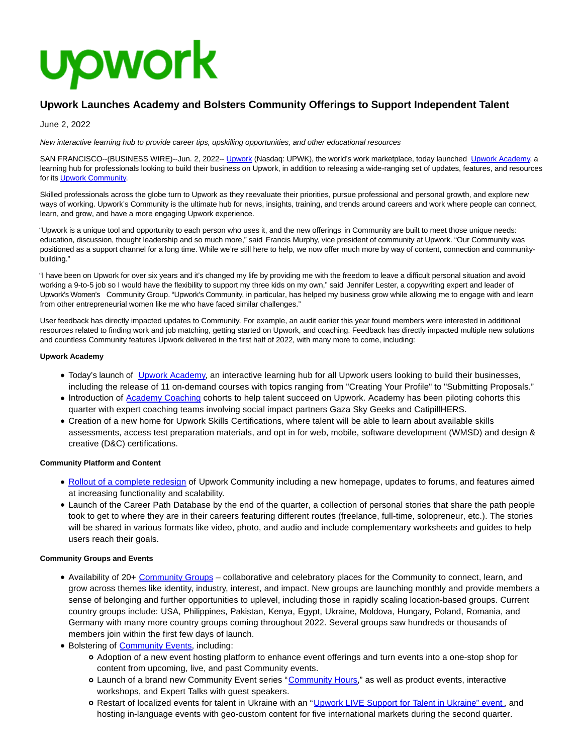

# **Upwork Launches Academy and Bolsters Community Offerings to Support Independent Talent**

June 2, 2022

New interactive learning hub to provide career tips, upskilling opportunities, and other educational resources

SAN FRANCISCO--(BUSINESS WIRE)--Jun. 2, 2022-- [Upwork \(](https://cts.businesswire.com/ct/CT?id=smartlink&url=https%3A%2F%2Fwww.upwork.com%2F&esheet=52737204&newsitemid=20220602005227&lan=en-US&anchor=Upwork&index=1&md5=fbb479b5a0d427d207e9a7a09927728c)Nasdaq: UPWK), the world's work marketplace, today launched [Upwork Academy,](https://cts.businesswire.com/ct/CT?id=smartlink&url=https%3A%2F%2Fcommunity.upwork.com%2Ft5%2FAcademy%2Fct-p%2FAcademy&esheet=52737204&newsitemid=20220602005227&lan=en-US&anchor=Upwork+Academy&index=2&md5=d8a23b9bd1d833379d078b8af8c904a3) a learning hub for professionals looking to build their business on Upwork, in addition to releasing a wide-ranging set of updates, features, and resources for it[s Upwork Community.](https://cts.businesswire.com/ct/CT?id=smartlink&url=https%3A%2F%2Fcommunity.upwork.com%2F&esheet=52737204&newsitemid=20220602005227&lan=en-US&anchor=Upwork+Community&index=3&md5=e2543a313ea2b905671d323e8288ea36)

Skilled professionals across the globe turn to Upwork as they reevaluate their priorities, pursue professional and personal growth, and explore new ways of working. Upwork's Community is the ultimate hub for news, insights, training, and trends around careers and work where people can connect, learn, and grow, and have a more engaging Upwork experience.

"Upwork is a unique tool and opportunity to each person who uses it, and the new offerings in Community are built to meet those unique needs: education, discussion, thought leadership and so much more," said Francis Murphy, vice president of community at Upwork. "Our Community was positioned as a support channel for a long time. While we're still here to help, we now offer much more by way of content, connection and communitybuilding."

"I have been on Upwork for over six years and it's changed my life by providing me with the freedom to leave a difficult personal situation and avoid working a 9-to-5 job so I would have the flexibility to support my three kids on my own," said Jennifer Lester, a copywriting expert and leader of Upwork's Women's Community Group. "Upwork's Community, in particular, has helped my business grow while allowing me to engage with and learn from other entrepreneurial women like me who have faced similar challenges."

User feedback has directly impacted updates to Community. For example, an audit earlier this year found members were interested in additional resources related to finding work and job matching, getting started on Upwork, and coaching. Feedback has directly impacted multiple new solutions and countless Community features Upwork delivered in the first half of 2022, with many more to come, including:

## **Upwork Academy**

- Today's launch of [Upwork Academy,](https://cts.businesswire.com/ct/CT?id=smartlink&url=https%3A%2F%2Fcommunity.upwork.com%2Ft5%2FAcademy%2Fct-p%2FAcademy&esheet=52737204&newsitemid=20220602005227&lan=en-US&anchor=Upwork+Academy&index=4&md5=dba4c1a59a34419eb15e867da20f12a5) an interactive learning hub for all Upwork users looking to build their businesses, including the release of 11 on-demand courses with topics ranging from "Creating Your Profile" to "Submitting Proposals."
- Introduction of [Academy Coaching c](https://cts.businesswire.com/ct/CT?id=smartlink&url=https%3A%2F%2Fcommunity.upwork.com%2Ft5%2FCoaching%2Fct-p%2FCoaching&esheet=52737204&newsitemid=20220602005227&lan=en-US&anchor=Academy+Coaching&index=5&md5=8569e92444bb7e92366c302a79b10a5b)ohorts to help talent succeed on Upwork. Academy has been piloting cohorts this quarter with expert coaching teams involving social impact partners Gaza Sky Geeks and CatipillHERS.
- Creation of a new home for Upwork Skills Certifications, where talent will be able to learn about available skills assessments, access test preparation materials, and opt in for web, mobile, software development (WMSD) and design & creative (D&C) certifications.

### **Community Platform and Content**

- [Rollout of a complete redesign](https://cts.businesswire.com/ct/CT?id=smartlink&url=https%3A%2F%2Fcommunity.upwork.com%2Ft5%2FAnnouncements%2FCommunity-Revamp-04-20-2022%2Fba-p%2F1060153&esheet=52737204&newsitemid=20220602005227&lan=en-US&anchor=Rollout+of+a+complete+redesign&index=6&md5=3bea00195bb0f0f09f25552463de803b) of Upwork Community including a new homepage, updates to forums, and features aimed at increasing functionality and scalability.
- Launch of the Career Path Database by the end of the quarter, a collection of personal stories that share the path people took to get to where they are in their careers featuring different routes (freelance, full-time, solopreneur, etc.). The stories will be shared in various formats like video, photo, and audio and include complementary worksheets and guides to help users reach their goals.

# **Community Groups and Events**

- Availability of 20+ [Community Groups –](https://cts.businesswire.com/ct/CT?id=smartlink&url=https%3A%2F%2Fcommunity.upwork.com%2Ft5%2FGroups%2Fct-p%2Fgroups&esheet=52737204&newsitemid=20220602005227&lan=en-US&anchor=Community+Groups&index=7&md5=bf5748fda834d65ddf5ef8cadf1e91bd) collaborative and celebratory places for the Community to connect, learn, and grow across themes like identity, industry, interest, and impact. New groups are launching monthly and provide members a sense of belonging and further opportunities to uplevel, including those in rapidly scaling location-based groups. Current country groups include: USA, Philippines, Pakistan, Kenya, Egypt, Ukraine, Moldova, Hungary, Poland, Romania, and Germany with many more country groups coming throughout 2022. Several groups saw hundreds or thousands of members join within the first few days of launch.
- Bolstering of [Community Events,](https://cts.businesswire.com/ct/CT?id=smartlink&url=https%3A%2F%2Fwww.upwork.com%2Fcommunity%2Fevents&esheet=52737204&newsitemid=20220602005227&lan=en-US&anchor=Community+Events&index=8&md5=7d1ba1c9f33c93edfd73bd398fec7298) including:
	- Adoption of a new event hosting platform to enhance event offerings and turn events into a one-stop shop for content from upcoming, live, and past Community events.
	- o Launch of a brand new Community Event series ["Community Hours,](https://cts.businesswire.com/ct/CT?id=smartlink&url=https%3A%2F%2Fwww.upwork.com%2Fcommunity%2Fevents%2Fupwork-virtual-community-hour&esheet=52737204&newsitemid=20220602005227&lan=en-US&anchor=Community+Hours&index=9&md5=4e1514053b165b93936bab248739bebe)" as well as product events, interactive workshops, and Expert Talks with guest speakers.
	- Restart of localized events for talent in Ukraine with an ["Upwork LIVE Support for Talent in Ukraine" event](https://cts.businesswire.com/ct/CT?id=smartlink&url=https%3A%2F%2Fwww.upwork.com%2Fcommunity%2Fevents%2Fupwork-live-support-for-talent-in-ukraine&esheet=52737204&newsitemid=20220602005227&lan=en-US&anchor=Upwork+LIVE+Support+for+Talent+in+Ukraine%26%238221%3B+event&index=10&md5=9e58993695772de73a6e5a2dd7c8774b) , and hosting in-language events with geo-custom content for five international markets during the second quarter.